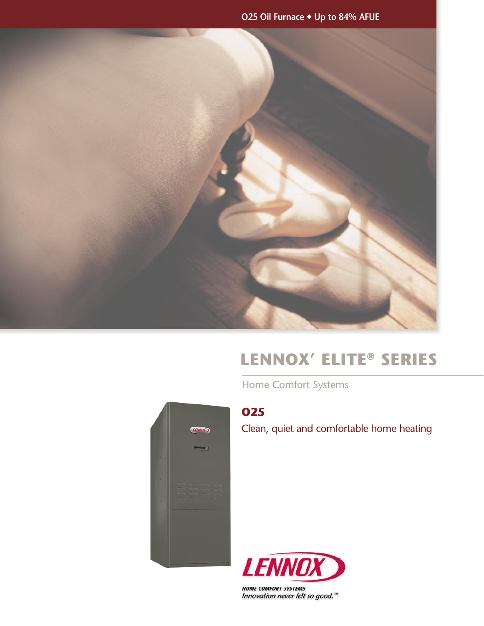**O25 Oil Furnace** ◆ **Up to 84% AFUE**



# **Lennox' Elite® Series**

Home Comfort Systems



# **O25**

Clean, quiet and comfortable home heating



**HOME COMFORT SYSTEMS** Innovation never felt so good."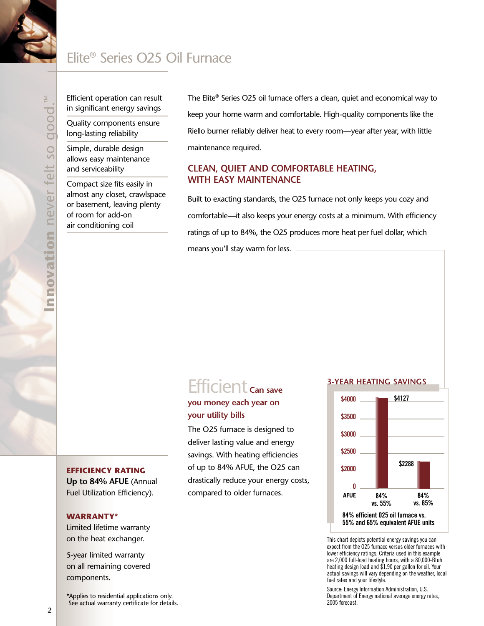# Elite® Series O25 Oil Furnace

Efficient operation can result in significant energy savings

Quality components ensure long-lasting reliability

Simple, durable design allows easy maintenance and serviceability

Compact size fits easily in almost any closet, crawlspace or basement, leaving plenty of room for add-on air conditioning coil

The Elite® Series O25 oil furnace offers a clean, quiet and economical way to keep your home warm and comfortable. High-quality components like the Riello burner reliably deliver heat to every room—year after year, with little maintenance required.

### **Clean, quiet and comfortable heating, with easy maintenance**

Built to exacting standards, the O25 furnace not only keeps you cozy and comfortable—it also keeps your energy costs at a minimum. With efficiency ratings of up to 84%, the O25 produces more heat per fuel dollar, which means you'll stay warm for less.

# Efficient **Can save**

## **you money each year on your utility bills**

The O25 furnace is designed to deliver lasting value and energy savings. With heating efficiencies of up to 84% AFUE, the O25 can drastically reduce your energy costs, compared to older furnaces.

#### **3-year heating savings**



This chart depicts potential energy savings you can expect from the O25 furnace versus older furnaces with lower efficiency ratings. Criteria used in this example are 2,000 full-load heating hours, with a 80,000-Btuh heating design load and \$1.90 per gallon for oil. Your actual savings will vary depending on the weather, local fuel rates and your lifestyle.

Source: Energy Information Administration, U.S. Department of Energy national average energy rates, 2005 forecast.

#### **Efficiency rating**

**Up to 84% AFUE** (Annual Fuel Utilization Efficiency).

#### **Warranty\***

Limited lifetime warranty on the heat exchanger.

5-year limited warranty on all remaining covered components.

\*Applies to residential applications only. See actual warranty certificate for details.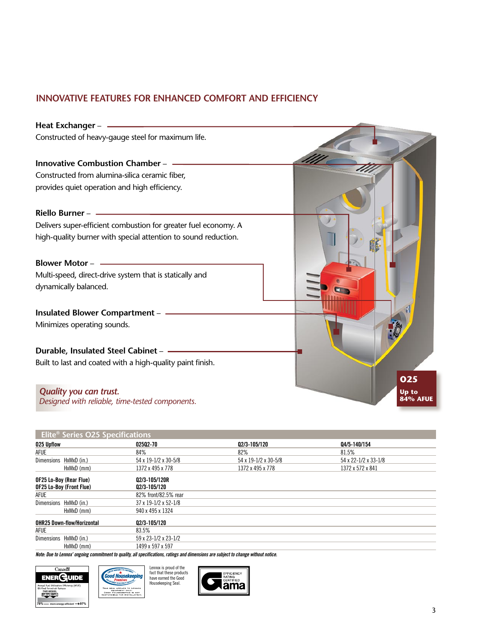# **INNOVATIVE FEATURES FOR ENHANCED COMFORT AND EFFICIENCY**

| Heat Exchanger -                                                                 |                          |
|----------------------------------------------------------------------------------|--------------------------|
| Constructed of heavy-gauge steel for maximum life.                               |                          |
| Innovative Combustion Chamber - -                                                |                          |
| Constructed from alumina-silica ceramic fiber,                                   |                          |
| provides quiet operation and high efficiency.                                    |                          |
| Riello Burner -                                                                  |                          |
| Delivers super-efficient combustion for greater fuel economy. A                  |                          |
| high-quality burner with special attention to sound reduction.                   |                          |
|                                                                                  |                          |
| Multi-speed, direct-drive system that is statically and                          |                          |
| dynamically balanced.                                                            |                          |
| Insulated Blower Compartment -                                                   |                          |
| Minimizes operating sounds.                                                      |                          |
| Durable, Insulated Steel Cabinet -                                               |                          |
| Built to last and coated with a high-quality paint finish.                       | 025                      |
| <b>Quality you can trust.</b><br>Designed with reliable, time-tested components. | Up to<br><b>84% AFUE</b> |

| Elite <sup>®</sup> Series O25 Specifications      |                          |                      |                      |                      |  |
|---------------------------------------------------|--------------------------|----------------------|----------------------|----------------------|--|
| 025 Upflow                                        |                          | 02502-70             | 02/3-105/120         | 04/5-140/154         |  |
| <b>AFUE</b>                                       |                          | 84%                  | 82%                  | 81.5%                |  |
| Dimensions HxWxD (in.)                            |                          | 54 x 19-1/2 x 30-5/8 | 54 x 19-1/2 x 30-5/8 | 54 x 22-1/2 x 33-1/8 |  |
|                                                   | HxWxD (mm)               | 1372 x 495 x 778     | 1372 x 495 x 778     | 1372 x 572 x 841     |  |
| OF25 Lo-Boy (Rear Flue)                           |                          | Q2/3-105/120R        |                      |                      |  |
|                                                   | OF25 Lo-Boy (Front Flue) | Q2/3-105/120         |                      |                      |  |
| <b>AFUE</b>                                       |                          | 82% front/82.5% rear |                      |                      |  |
| Dimensions HxWxD (in.)                            |                          | 37 x 19-1/2 x 52-1/8 |                      |                      |  |
|                                                   | HxWxD (mm)               | 940 x 495 x 1324     |                      |                      |  |
| <b>OHR25 Down-flow/Horizontal</b><br>Q2/3-105/120 |                          |                      |                      |                      |  |
| <b>AFUE</b>                                       |                          | 83.5%                |                      |                      |  |
| Dimensions                                        | HxWxD (in.)              | 59 x 23-1/2 x 23-1/2 |                      |                      |  |
|                                                   | HxWxD (mm)               | 1499 x 597 x 597     |                      |                      |  |

*Note: Due to Lennox' ongoing commitment to quality, all specifications, ratings and dimensions are subject to change without notice.*